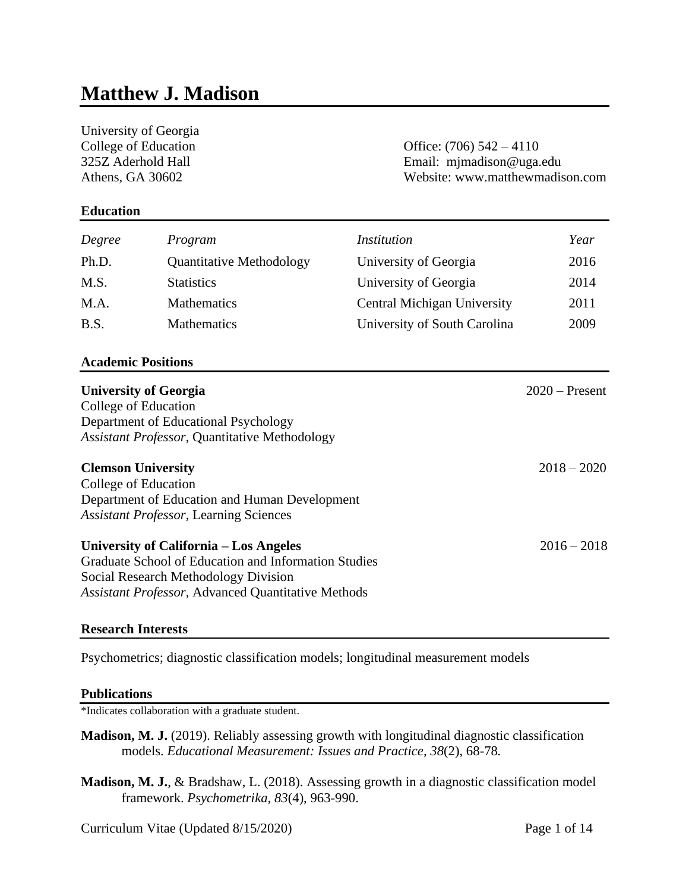# **Matthew J. Madison**

| University of Georgia                                |                                                      |                                 |                            |  |
|------------------------------------------------------|------------------------------------------------------|---------------------------------|----------------------------|--|
| College of Education                                 |                                                      |                                 | Office: $(706)$ 542 – 4110 |  |
| 325Z Aderhold Hall                                   |                                                      | Email: mjmadison@uga.edu        |                            |  |
| Athens, GA 30602                                     |                                                      | Website: www.matthewmadison.com |                            |  |
| <b>Education</b>                                     |                                                      |                                 |                            |  |
| Degree                                               | Program                                              | <i>Institution</i>              | Year                       |  |
| Ph.D.                                                | <b>Quantitative Methodology</b>                      | University of Georgia           | 2016                       |  |
| M.S.                                                 | <b>Statistics</b>                                    | University of Georgia           | 2014                       |  |
| M.A.                                                 | Mathematics                                          | Central Michigan University     | 2011                       |  |
| B.S.                                                 | Mathematics                                          | University of South Carolina    | 2009                       |  |
| <b>Academic Positions</b>                            |                                                      |                                 |                            |  |
|                                                      | <b>University of Georgia</b>                         |                                 | $2020$ – Present           |  |
| College of Education                                 |                                                      |                                 |                            |  |
|                                                      | Department of Educational Psychology                 |                                 |                            |  |
|                                                      | <b>Assistant Professor, Quantitative Methodology</b> |                                 |                            |  |
| <b>Clemson University</b>                            |                                                      |                                 | $2018 - 2020$              |  |
| College of Education                                 |                                                      |                                 |                            |  |
|                                                      | Department of Education and Human Development        |                                 |                            |  |
|                                                      | <b>Assistant Professor, Learning Sciences</b>        |                                 |                            |  |
|                                                      | University of California – Los Angeles               |                                 | $2016 - 2018$              |  |
| Graduate School of Education and Information Studies |                                                      |                                 |                            |  |
|                                                      | Social Research Methodology Division                 |                                 |                            |  |
|                                                      | Assistant Professor, Advanced Quantitative Methods   |                                 |                            |  |
|                                                      |                                                      |                                 |                            |  |

## **Research Interests**

Psychometrics; diagnostic classification models; longitudinal measurement models

#### **Publications**

\*Indicates collaboration with a graduate student.

- **Madison, M. J.** (2019). Reliably assessing growth with longitudinal diagnostic classification models. *Educational Measurement: Issues and Practice, 38*(2), 68-78*.*
- **Madison, M. J.**, & Bradshaw, L. (2018). Assessing growth in a diagnostic classification model framework. *Psychometrika, 83*(4), 963-990.

Curriculum Vitae (Updated 8/15/2020) Page 1 of 14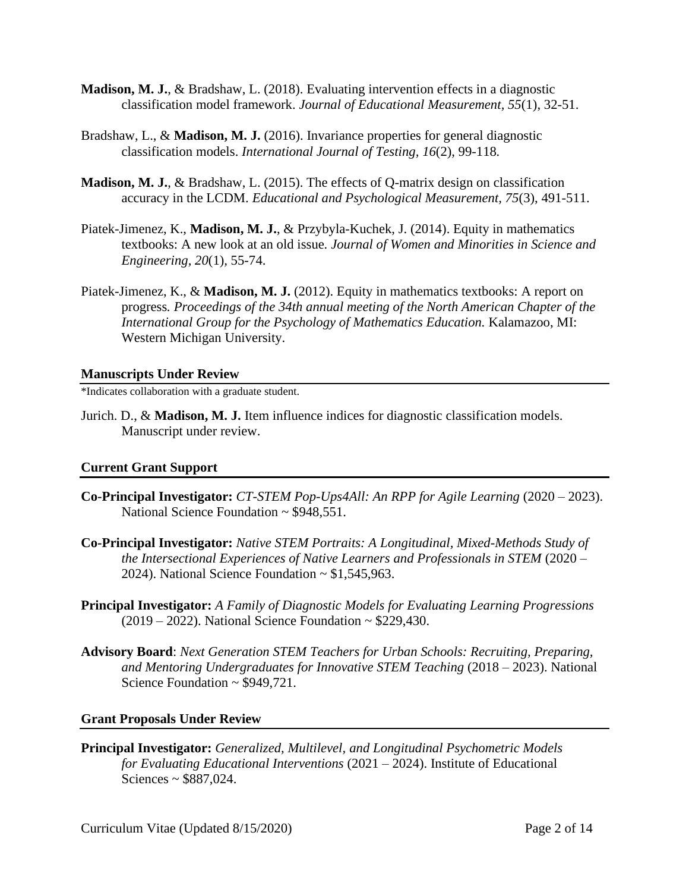- **Madison, M. J.**, & Bradshaw, L. (2018). Evaluating intervention effects in a diagnostic classification model framework. *Journal of Educational Measurement, 55*(1), 32-51.
- Bradshaw, L., & **Madison, M. J.** (2016). Invariance properties for general diagnostic classification models. *International Journal of Testing, 16*(2), 99-118*.*
- **Madison, M. J.**, & Bradshaw, L. (2015). The effects of Q-matrix design on classification accuracy in the LCDM. *Educational and Psychological Measurement, 75*(3), 491-511.
- Piatek-Jimenez, K., **Madison, M. J.**, & Przybyla-Kuchek, J. (2014). Equity in mathematics textbooks: A new look at an old issue*. Journal of Women and Minorities in Science and Engineering, 20*(1)*,* 55-74.
- Piatek-Jimenez, K., & **Madison, M. J.** (2012). Equity in mathematics textbooks: A report on progress*. Proceedings of the 34th annual meeting of the North American Chapter of the International Group for the Psychology of Mathematics Education.* Kalamazoo, MI: Western Michigan University.

#### **Manuscripts Under Review**

\*Indicates collaboration with a graduate student.

Jurich. D., & **Madison, M. J.** Item influence indices for diagnostic classification models. Manuscript under review.

## **Current Grant Support**

- **Co-Principal Investigator:** *CT-STEM Pop-Ups4All: An RPP for Agile Learning* (2020 2023). National Science Foundation ~ \$948,551.
- **Co-Principal Investigator:** *Native STEM Portraits: A Longitudinal, Mixed-Methods Study of the Intersectional Experiences of Native Learners and Professionals in STEM* (2020 – 2024). National Science Foundation  $\sim$  \$1,545,963.
- **Principal Investigator:** *A Family of Diagnostic Models for Evaluating Learning Progressions*  $(2019 - 2022)$ . National Science Foundation ~ \$229,430.
- **Advisory Board**: *Next Generation STEM Teachers for Urban Schools: Recruiting, Preparing, and Mentoring Undergraduates for Innovative STEM Teaching* (2018 – 2023). National Science Foundation ~ \$949,721.

## **Grant Proposals Under Review**

**Principal Investigator:** *Generalized, Multilevel, and Longitudinal Psychometric Models for Evaluating Educational Interventions* (2021 – 2024). Institute of Educational Sciences ~ \$887,024.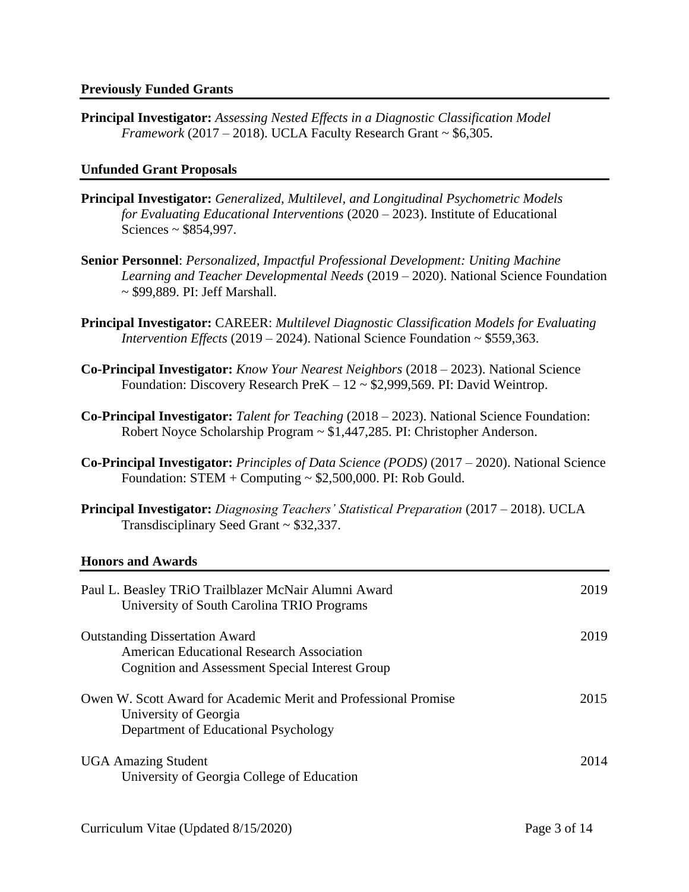**Principal Investigator:** *Assessing Nested Effects in a Diagnostic Classification Model Framework* (2017 – 2018). UCLA Faculty Research Grant  $\sim$  \$6,305.

## **Unfunded Grant Proposals**

- **Principal Investigator:** *Generalized, Multilevel, and Longitudinal Psychometric Models for Evaluating Educational Interventions* (2020 – 2023). Institute of Educational Sciences ~ \$854,997.
- **Senior Personnel**: *Personalized, Impactful Professional Development: Uniting Machine Learning and Teacher Developmental Needs* (2019 – 2020). National Science Foundation ~ \$99,889. PI: Jeff Marshall.
- **Principal Investigator:** CAREER: *Multilevel Diagnostic Classification Models for Evaluating Intervention Effects* (2019 – 2024). National Science Foundation ~ \$559,363.
- **Co-Principal Investigator:** *Know Your Nearest Neighbors* (2018 2023). National Science Foundation: Discovery Research PreK  $-12 \sim $2,999,569$ . PI: David Weintrop.
- **Co-Principal Investigator:** *Talent for Teaching* (2018 2023). National Science Foundation: Robert Noyce Scholarship Program ~ \$1,447,285. PI: Christopher Anderson.
- **Co-Principal Investigator:** *Principles of Data Science (PODS)* (2017 2020). National Science Foundation:  $STEM + Computing \approx $2,500,000$ . PI: Rob Gould.
- **Principal Investigator:** *Diagnosing Teachers' Statistical Preparation* (2017 2018). UCLA Transdisciplinary Seed Grant ~ \$32,337.

## **Honors and Awards**

| Paul L. Beasley TRiO Trailblazer McNair Alumni Award<br>University of South Carolina TRIO Programs                                           | 2019 |
|----------------------------------------------------------------------------------------------------------------------------------------------|------|
| <b>Outstanding Dissertation Award</b><br><b>American Educational Research Association</b><br>Cognition and Assessment Special Interest Group | 2019 |
| Owen W. Scott Award for Academic Merit and Professional Promise<br>University of Georgia<br>Department of Educational Psychology             | 2015 |
| <b>UGA Amazing Student</b><br>University of Georgia College of Education                                                                     | 2014 |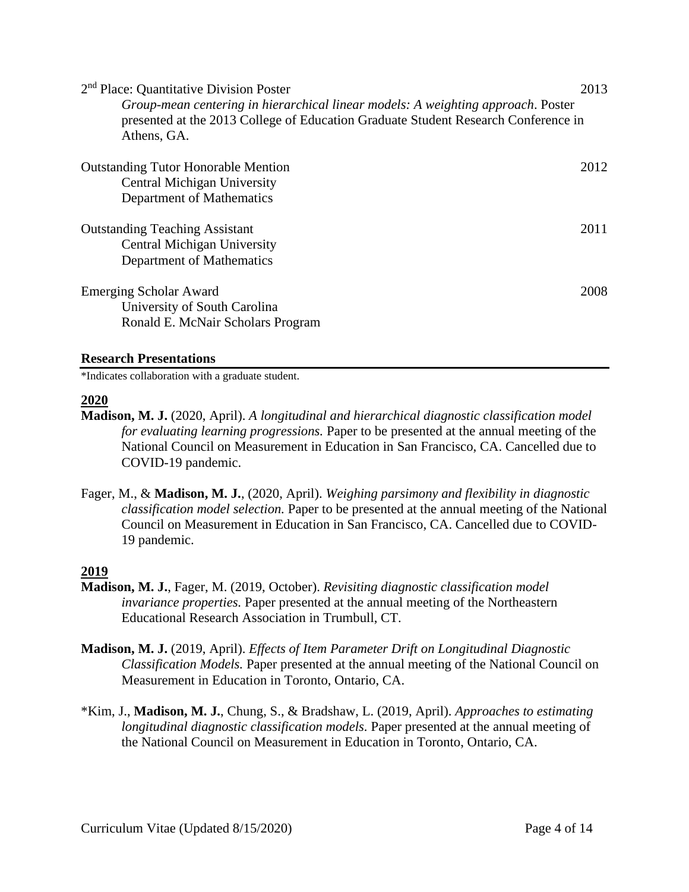| 2 <sup>nd</sup> Place: Quantitative Division Poster<br>Group-mean centering in hierarchical linear models: A weighting approach. Poster<br>presented at the 2013 College of Education Graduate Student Research Conference in<br>Athens, GA. | 2013 |
|----------------------------------------------------------------------------------------------------------------------------------------------------------------------------------------------------------------------------------------------|------|
| <b>Outstanding Tutor Honorable Mention</b><br>Central Michigan University<br>Department of Mathematics                                                                                                                                       | 2012 |
| <b>Outstanding Teaching Assistant</b><br>Central Michigan University<br>Department of Mathematics                                                                                                                                            | 2011 |
| <b>Emerging Scholar Award</b><br>University of South Carolina<br>Ronald E. McNair Scholars Program                                                                                                                                           | 2008 |

## **Research Presentations**

\*Indicates collaboration with a graduate student.

## **2020**

- **Madison, M. J.** (2020, April). *A longitudinal and hierarchical diagnostic classification model for evaluating learning progressions.* Paper to be presented at the annual meeting of the National Council on Measurement in Education in San Francisco, CA. Cancelled due to COVID-19 pandemic.
- Fager, M., & **Madison, M. J.**, (2020, April). *Weighing parsimony and flexibility in diagnostic classification model selection.* Paper to be presented at the annual meeting of the National Council on Measurement in Education in San Francisco, CA. Cancelled due to COVID-19 pandemic.

## **2019**

- **Madison, M. J.**, Fager, M. (2019, October). *Revisiting diagnostic classification model invariance properties.* Paper presented at the annual meeting of the Northeastern Educational Research Association in Trumbull, CT.
- **Madison, M. J.** (2019, April). *Effects of Item Parameter Drift on Longitudinal Diagnostic Classification Models.* Paper presented at the annual meeting of the National Council on Measurement in Education in Toronto, Ontario, CA.
- \*Kim, J., **Madison, M. J.**, Chung, S., & Bradshaw, L. (2019, April). *Approaches to estimating longitudinal diagnostic classification models.* Paper presented at the annual meeting of the National Council on Measurement in Education in Toronto, Ontario, CA.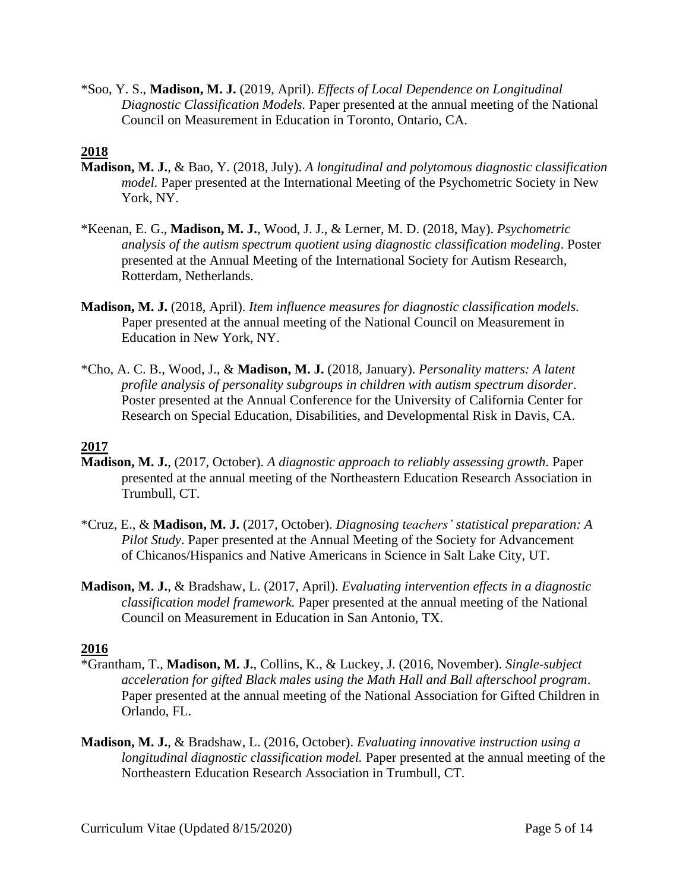\*Soo, Y. S., **Madison, M. J.** (2019, April). *Effects of Local Dependence on Longitudinal Diagnostic Classification Models.* Paper presented at the annual meeting of the National Council on Measurement in Education in Toronto, Ontario, CA.

# **2018**

- **Madison, M. J.**, & Bao, Y. (2018, July). *A longitudinal and polytomous diagnostic classification model.* Paper presented at the International Meeting of the Psychometric Society in New York, NY.
- \*Keenan, E. G., **Madison, M. J.**, Wood, J. J., & Lerner, M. D. (2018, May). *Psychometric analysis of the autism spectrum quotient using diagnostic classification modeling*. Poster presented at the Annual Meeting of the International Society for Autism Research, Rotterdam, Netherlands.
- **Madison, M. J.** (2018, April). *Item influence measures for diagnostic classification models.*  Paper presented at the annual meeting of the National Council on Measurement in Education in New York, NY.
- \*Cho, A. C. B., Wood, J., & **Madison, M. J.** (2018, January). *Personality matters: A latent profile analysis of personality subgroups in children with autism spectrum disorder*. Poster presented at the Annual Conference for the University of California Center for Research on Special Education, Disabilities, and Developmental Risk in Davis, CA.

## **2017**

- **Madison, M. J.**, (2017, October). *A diagnostic approach to reliably assessing growth.* Paper presented at the annual meeting of the Northeastern Education Research Association in Trumbull, CT.
- \*Cruz, E., & **Madison, M. J.** (2017, October). *Diagnosing teachers' statistical preparation: A Pilot Study*. Paper presented at the Annual Meeting of the Society for Advancement of Chicanos/Hispanics and Native Americans in Science in Salt Lake City, UT.
- **Madison, M. J.**, & Bradshaw, L. (2017, April). *Evaluating intervention effects in a diagnostic classification model framework.* Paper presented at the annual meeting of the National Council on Measurement in Education in San Antonio, TX.

## **2016**

- \*Grantham, T., **Madison, M. J.**, Collins, K., & Luckey, J. (2016, November). *Single-subject acceleration for gifted Black males using the Math Hall and Ball afterschool program*. Paper presented at the annual meeting of the National Association for Gifted Children in Orlando, FL.
- **Madison, M. J.**, & Bradshaw, L. (2016, October). *Evaluating innovative instruction using a longitudinal diagnostic classification model.* Paper presented at the annual meeting of the Northeastern Education Research Association in Trumbull, CT.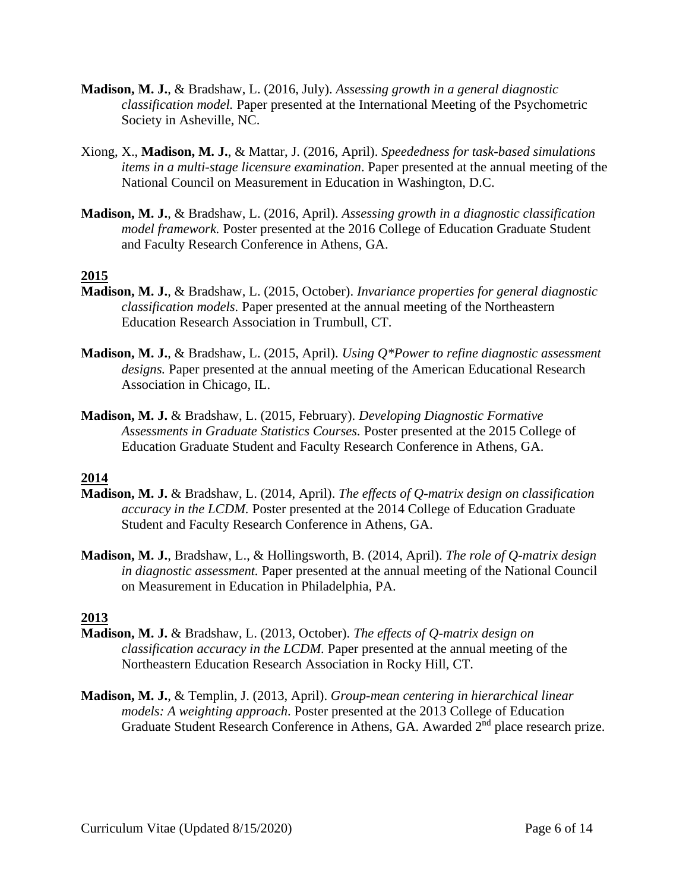- **Madison, M. J.**, & Bradshaw, L. (2016, July). *Assessing growth in a general diagnostic classification model.* Paper presented at the International Meeting of the Psychometric Society in Asheville, NC.
- Xiong, X., **Madison, M. J.**, & Mattar, J. (2016, April). *Speededness for task-based simulations items in a multi-stage licensure examination*. Paper presented at the annual meeting of the National Council on Measurement in Education in Washington, D.C.
- **Madison, M. J.**, & Bradshaw, L. (2016, April). *Assessing growth in a diagnostic classification model framework.* Poster presented at the 2016 College of Education Graduate Student and Faculty Research Conference in Athens, GA.

## **2015**

- **Madison, M. J.**, & Bradshaw, L. (2015, October). *Invariance properties for general diagnostic classification models.* Paper presented at the annual meeting of the Northeastern Education Research Association in Trumbull, CT.
- **Madison, M. J.**, & Bradshaw, L. (2015, April). *Using Q\*Power to refine diagnostic assessment designs.* Paper presented at the annual meeting of the American Educational Research Association in Chicago, IL.
- **Madison, M. J.** & Bradshaw, L. (2015, February). *Developing Diagnostic Formative Assessments in Graduate Statistics Courses.* Poster presented at the 2015 College of Education Graduate Student and Faculty Research Conference in Athens, GA.

## **2014**

- **Madison, M. J.** & Bradshaw, L. (2014, April). *The effects of Q-matrix design on classification accuracy in the LCDM.* Poster presented at the 2014 College of Education Graduate Student and Faculty Research Conference in Athens, GA.
- **Madison, M. J.**, Bradshaw, L., & Hollingsworth, B. (2014, April). *The role of Q-matrix design in diagnostic assessment.* Paper presented at the annual meeting of the National Council on Measurement in Education in Philadelphia, PA.

## **2013**

- **Madison, M. J.** & Bradshaw, L. (2013, October). *The effects of Q-matrix design on classification accuracy in the LCDM.* Paper presented at the annual meeting of the Northeastern Education Research Association in Rocky Hill, CT.
- **Madison, M. J.**, & Templin, J. (2013, April). *Group-mean centering in hierarchical linear models: A weighting approach*. Poster presented at the 2013 College of Education Graduate Student Research Conference in Athens, GA. Awarded 2nd place research prize.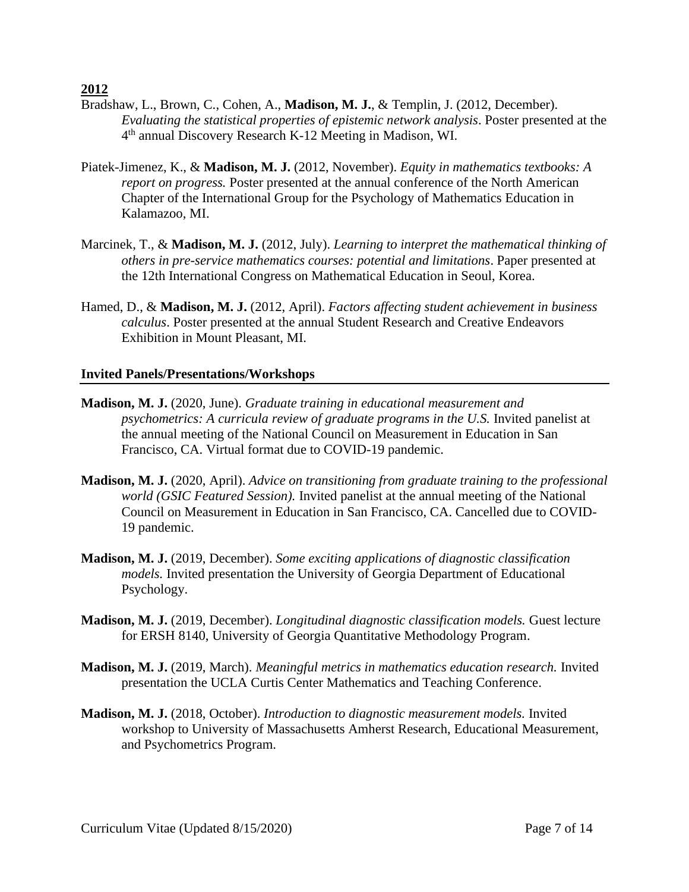**2012**

- Bradshaw, L., Brown, C., Cohen, A., **Madison, M. J.**, & Templin, J. (2012, December). *Evaluating the statistical properties of epistemic network analysis*. Poster presented at the 4 th annual Discovery Research K-12 Meeting in Madison, WI.
- Piatek-Jimenez, K., & **Madison, M. J.** (2012, November). *Equity in mathematics textbooks: A report on progress.* Poster presented at the annual conference of the North American Chapter of the International Group for the Psychology of Mathematics Education in Kalamazoo, MI.
- Marcinek, T., & **Madison, M. J.** (2012, July). *Learning to interpret the mathematical thinking of others in pre-service mathematics courses: potential and limitations*. Paper presented at the 12th International Congress on Mathematical Education in Seoul, Korea.
- Hamed, D., & **Madison, M. J.** (2012, April). *Factors affecting student achievement in business calculus*. Poster presented at the annual Student Research and Creative Endeavors Exhibition in Mount Pleasant, MI.

## **Invited Panels/Presentations/Workshops**

- **Madison, M. J.** (2020, June). *Graduate training in educational measurement and psychometrics: A curricula review of graduate programs in the U.S.* Invited panelist at the annual meeting of the National Council on Measurement in Education in San Francisco, CA. Virtual format due to COVID-19 pandemic.
- **Madison, M. J.** (2020, April). *Advice on transitioning from graduate training to the professional world (GSIC Featured Session).* Invited panelist at the annual meeting of the National Council on Measurement in Education in San Francisco, CA. Cancelled due to COVID-19 pandemic.
- **Madison, M. J.** (2019, December). *Some exciting applications of diagnostic classification models.* Invited presentation the University of Georgia Department of Educational Psychology.
- **Madison, M. J.** (2019, December). *Longitudinal diagnostic classification models.* Guest lecture for ERSH 8140, University of Georgia Quantitative Methodology Program.
- **Madison, M. J.** (2019, March). *Meaningful metrics in mathematics education research.* Invited presentation the UCLA Curtis Center Mathematics and Teaching Conference.
- **Madison, M. J.** (2018, October). *Introduction to diagnostic measurement models.* Invited workshop to University of Massachusetts Amherst Research, Educational Measurement, and Psychometrics Program.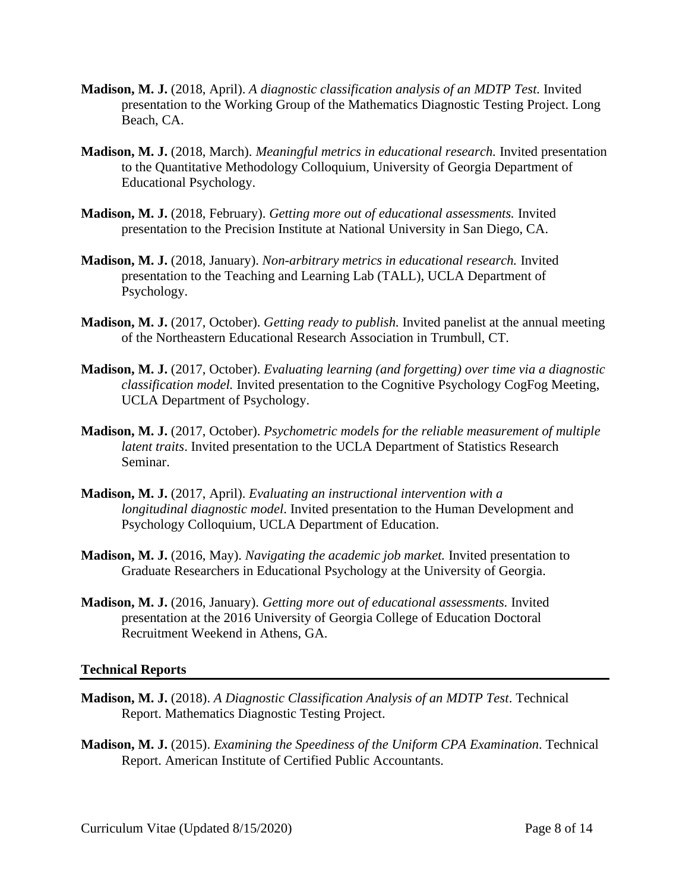- **Madison, M. J.** (2018, April). *A diagnostic classification analysis of an MDTP Test.* Invited presentation to the Working Group of the Mathematics Diagnostic Testing Project. Long Beach, CA.
- **Madison, M. J.** (2018, March). *Meaningful metrics in educational research.* Invited presentation to the Quantitative Methodology Colloquium, University of Georgia Department of Educational Psychology.
- **Madison, M. J.** (2018, February). *Getting more out of educational assessments.* Invited presentation to the Precision Institute at National University in San Diego, CA.
- **Madison, M. J.** (2018, January). *Non-arbitrary metrics in educational research.* Invited presentation to the Teaching and Learning Lab (TALL), UCLA Department of Psychology.
- **Madison, M. J.** (2017, October). *Getting ready to publish.* Invited panelist at the annual meeting of the Northeastern Educational Research Association in Trumbull, CT.
- **Madison, M. J.** (2017, October). *Evaluating learning (and forgetting) over time via a diagnostic classification model.* Invited presentation to the Cognitive Psychology CogFog Meeting, UCLA Department of Psychology.
- **Madison, M. J.** (2017, October). *Psychometric models for the reliable measurement of multiple latent traits*. Invited presentation to the UCLA Department of Statistics Research Seminar.
- **Madison, M. J.** (2017, April). *Evaluating an instructional intervention with a longitudinal diagnostic model*. Invited presentation to the Human Development and Psychology Colloquium, UCLA Department of Education.
- **Madison, M. J.** (2016, May). *Navigating the academic job market.* Invited presentation to Graduate Researchers in Educational Psychology at the University of Georgia.
- **Madison, M. J.** (2016, January). *Getting more out of educational assessments.* Invited presentation at the 2016 University of Georgia College of Education Doctoral Recruitment Weekend in Athens, GA.

## **Technical Reports**

- **Madison, M. J.** (2018). *A Diagnostic Classification Analysis of an MDTP Test*. Technical Report. Mathematics Diagnostic Testing Project.
- **Madison, M. J.** (2015). *Examining the Speediness of the Uniform CPA Examination*. Technical Report. American Institute of Certified Public Accountants.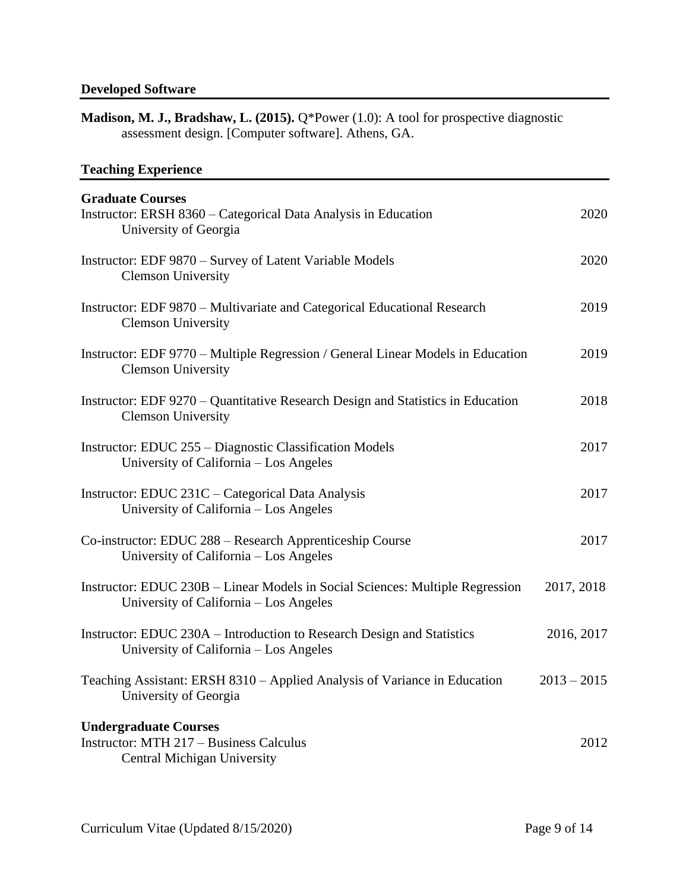# **Developed Software**

| <b>Madison, M. J., Bradshaw, L. (2015).</b> Q*Power $(1.0)$ : A tool for prospective diagnostic |
|-------------------------------------------------------------------------------------------------|
| assessment design. [Computer software]. Athens, GA.                                             |

# **Teaching Experience**

| <b>Graduate Courses</b><br>Instructor: ERSH 8360 – Categorical Data Analysis in Education<br>University of Georgia      | 2020          |
|-------------------------------------------------------------------------------------------------------------------------|---------------|
| Instructor: EDF 9870 – Survey of Latent Variable Models<br><b>Clemson University</b>                                    | 2020          |
| Instructor: EDF 9870 – Multivariate and Categorical Educational Research<br><b>Clemson University</b>                   | 2019          |
| Instructor: EDF 9770 – Multiple Regression / General Linear Models in Education<br><b>Clemson University</b>            | 2019          |
| Instructor: EDF 9270 – Quantitative Research Design and Statistics in Education<br><b>Clemson University</b>            | 2018          |
| Instructor: EDUC 255 – Diagnostic Classification Models<br>University of California – Los Angeles                       | 2017          |
| Instructor: EDUC 231C – Categorical Data Analysis<br>University of California - Los Angeles                             | 2017          |
| Co-instructor: EDUC 288 – Research Apprenticeship Course<br>University of California – Los Angeles                      | 2017          |
| Instructor: EDUC 230B – Linear Models in Social Sciences: Multiple Regression<br>University of California – Los Angeles | 2017, 2018    |
| Instructor: EDUC 230A – Introduction to Research Design and Statistics<br>University of California – Los Angeles        | 2016, 2017    |
| Teaching Assistant: ERSH 8310 - Applied Analysis of Variance in Education<br>University of Georgia                      | $2013 - 2015$ |
| <b>Undergraduate Courses</b><br><b>Instructor: MTH 217 – Business Calculus</b><br>Central Michigan University           | 2012          |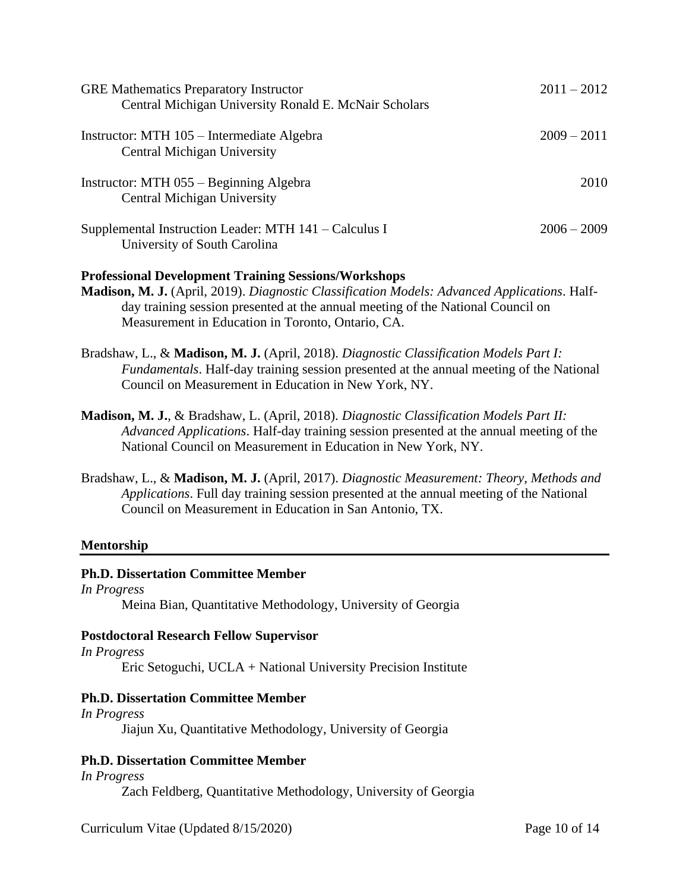| <b>GRE Mathematics Preparatory Instructor</b><br>Central Michigan University Ronald E. McNair Scholars | $2011 - 2012$ |
|--------------------------------------------------------------------------------------------------------|---------------|
| Instructor: MTH 105 – Intermediate Algebra<br><b>Central Michigan University</b>                       | $2009 - 2011$ |
| Instructor: MTH 055 – Beginning Algebra<br>Central Michigan University                                 | 2010          |
| Supplemental Instruction Leader: MTH 141 – Calculus I<br>University of South Carolina                  | $2006 - 2009$ |

## **Professional Development Training Sessions/Workshops**

- **Madison, M. J.** (April, 2019). *Diagnostic Classification Models: Advanced Applications*. Halfday training session presented at the annual meeting of the National Council on Measurement in Education in Toronto, Ontario, CA.
- Bradshaw, L., & **Madison, M. J.** (April, 2018). *Diagnostic Classification Models Part I: Fundamentals*. Half-day training session presented at the annual meeting of the National Council on Measurement in Education in New York, NY.
- **Madison, M. J.**, & Bradshaw, L. (April, 2018). *Diagnostic Classification Models Part II: Advanced Applications*. Half-day training session presented at the annual meeting of the National Council on Measurement in Education in New York, NY.
- Bradshaw, L., & **Madison, M. J.** (April, 2017). *Diagnostic Measurement: Theory, Methods and Applications*. Full day training session presented at the annual meeting of the National Council on Measurement in Education in San Antonio, TX.

## **Mentorship**

## **Ph.D. Dissertation Committee Member**

*In Progress* Meina Bian, Quantitative Methodology, University of Georgia

## **Postdoctoral Research Fellow Supervisor**

*In Progress* Eric Setoguchi, UCLA + National University Precision Institute

## **Ph.D. Dissertation Committee Member**

*In Progress* Jiajun Xu, Quantitative Methodology, University of Georgia

## **Ph.D. Dissertation Committee Member**

*In Progress* Zach Feldberg, Quantitative Methodology, University of Georgia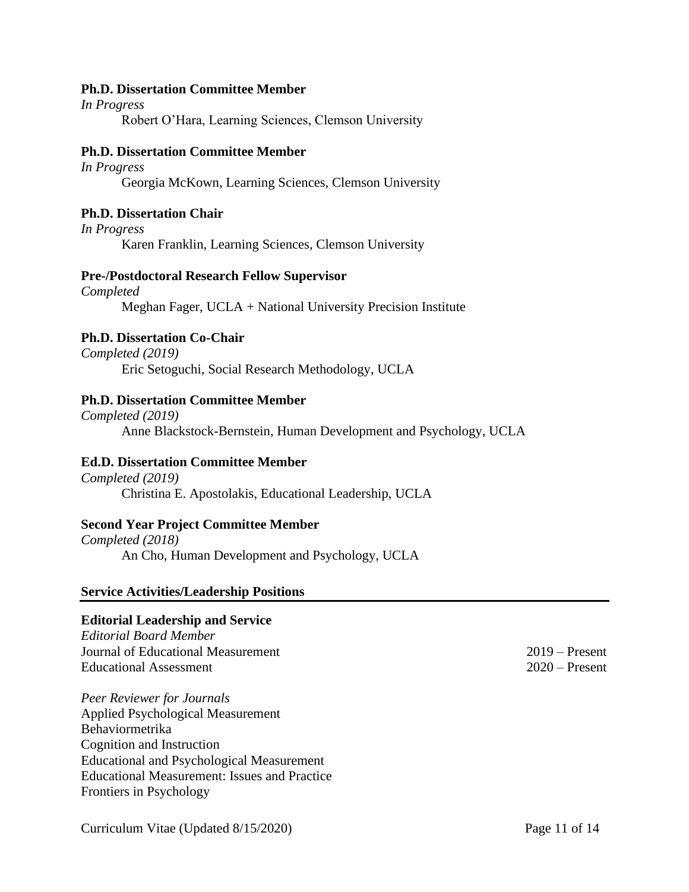#### **Ph.D. Dissertation Committee Member**

*In Progress* Robert O'Hara, Learning Sciences, Clemson University

#### **Ph.D. Dissertation Committee Member**

*In Progress* Georgia McKown, Learning Sciences, Clemson University

#### **Ph.D. Dissertation Chair**

*In Progress* Karen Franklin, Learning Sciences, Clemson University

#### **Pre-/Postdoctoral Research Fellow Supervisor**

*Completed* Meghan Fager, UCLA + National University Precision Institute

## **Ph.D. Dissertation Co-Chair**

*Completed (2019)* Eric Setoguchi, Social Research Methodology, UCLA

#### **Ph.D. Dissertation Committee Member**

*Completed (2019)* Anne Blackstock-Bernstein, Human Development and Psychology, UCLA

#### **Ed.D. Dissertation Committee Member**

*Completed (2019)* Christina E. Apostolakis, Educational Leadership, UCLA

#### **Second Year Project Committee Member**

*Completed (2018)* An Cho, Human Development and Psychology, UCLA

#### **Service Activities/Leadership Positions**

#### **Editorial Leadership and Service**

*Editorial Board Member* Journal of Educational Measurement 2019 – Present Educational Assessment 2020 – Present

*Peer Reviewer for Journals* Applied Psychological Measurement Behaviormetrika Cognition and Instruction Educational and Psychological Measurement Educational Measurement: Issues and Practice Frontiers in Psychology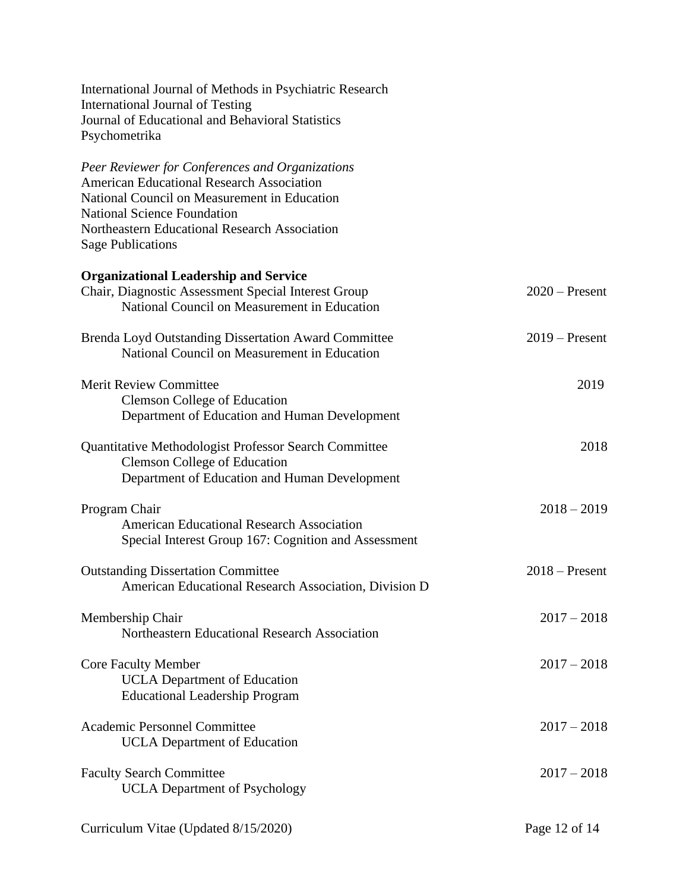| International Journal of Methods in Psychiatric Research<br>International Journal of Testing<br>Journal of Educational and Behavioral Statistics<br>Psychometrika                                                                                                      |                  |
|------------------------------------------------------------------------------------------------------------------------------------------------------------------------------------------------------------------------------------------------------------------------|------------------|
| Peer Reviewer for Conferences and Organizations<br><b>American Educational Research Association</b><br>National Council on Measurement in Education<br><b>National Science Foundation</b><br>Northeastern Educational Research Association<br><b>Sage Publications</b> |                  |
| <b>Organizational Leadership and Service</b><br>Chair, Diagnostic Assessment Special Interest Group<br>National Council on Measurement in Education                                                                                                                    | $2020$ – Present |
| Brenda Loyd Outstanding Dissertation Award Committee<br>National Council on Measurement in Education                                                                                                                                                                   | $2019$ – Present |
| <b>Merit Review Committee</b><br><b>Clemson College of Education</b><br>Department of Education and Human Development                                                                                                                                                  | 2019             |
| Quantitative Methodologist Professor Search Committee<br><b>Clemson College of Education</b><br>Department of Education and Human Development                                                                                                                          | 2018             |
| Program Chair<br><b>American Educational Research Association</b><br>Special Interest Group 167: Cognition and Assessment                                                                                                                                              | $2018 - 2019$    |
| <b>Outstanding Dissertation Committee</b><br>American Educational Research Association, Division D                                                                                                                                                                     | $2018 -$ Present |
| Membership Chair<br>Northeastern Educational Research Association                                                                                                                                                                                                      | $2017 - 2018$    |
| <b>Core Faculty Member</b><br><b>UCLA</b> Department of Education<br><b>Educational Leadership Program</b>                                                                                                                                                             | $2017 - 2018$    |
| Academic Personnel Committee<br><b>UCLA</b> Department of Education                                                                                                                                                                                                    | $2017 - 2018$    |
| <b>Faculty Search Committee</b><br><b>UCLA</b> Department of Psychology                                                                                                                                                                                                | $2017 - 2018$    |
| Curriculum Vitae (Updated 8/15/2020)                                                                                                                                                                                                                                   | Page 12 of 14    |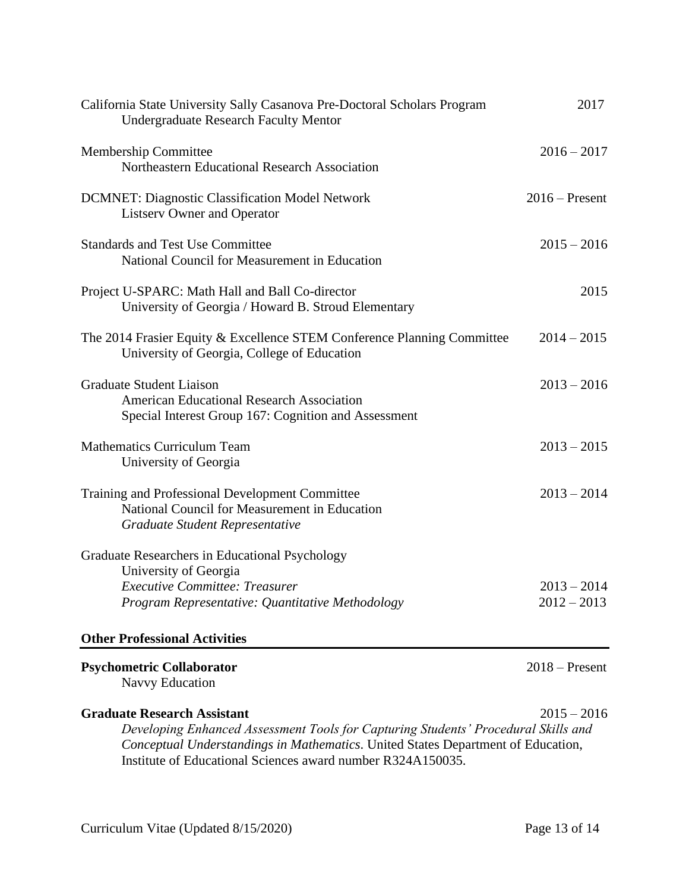| <b>Psychometric Collaborator</b>                                                                                         | $2018 -$ Present |
|--------------------------------------------------------------------------------------------------------------------------|------------------|
| <b>Other Professional Activities</b>                                                                                     |                  |
| Program Representative: Quantitative Methodology                                                                         | $2012 - 2013$    |
| <b>Executive Committee: Treasurer</b>                                                                                    | $2013 - 2014$    |
| University of Georgia                                                                                                    |                  |
| Graduate Researchers in Educational Psychology                                                                           |                  |
| National Council for Measurement in Education<br>Graduate Student Representative                                         |                  |
| Training and Professional Development Committee                                                                          | $2013 - 2014$    |
| <b>Mathematics Curriculum Team</b><br>University of Georgia                                                              | $2013 - 2015$    |
| <b>American Educational Research Association</b><br>Special Interest Group 167: Cognition and Assessment                 |                  |
| <b>Graduate Student Liaison</b>                                                                                          | $2013 - 2016$    |
| The 2014 Frasier Equity & Excellence STEM Conference Planning Committee<br>University of Georgia, College of Education   | $2014 - 2015$    |
| Project U-SPARC: Math Hall and Ball Co-director<br>University of Georgia / Howard B. Stroud Elementary                   | 2015             |
| <b>Standards and Test Use Committee</b><br>National Council for Measurement in Education                                 | $2015 - 2016$    |
| <b>DCMNET: Diagnostic Classification Model Network</b><br><b>Listserv Owner and Operator</b>                             | $2016$ – Present |
| Membership Committee<br>Northeastern Educational Research Association                                                    | $2016 - 2017$    |
| California State University Sally Casanova Pre-Doctoral Scholars Program<br><b>Undergraduate Research Faculty Mentor</b> | 2017             |

Navvy Education

# **Graduate Research Assistant**2015 – 2016

*Developing Enhanced Assessment Tools for Capturing Students' Procedural Skills and Conceptual Understandings in Mathematics*. United States Department of Education, Institute of Educational Sciences award number R324A150035.